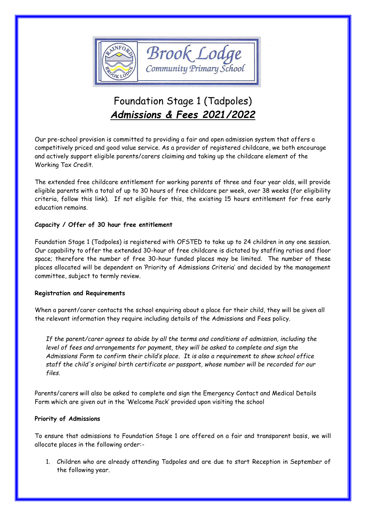

# Foundation Stage 1 (Tadpoles) *Admissions & Fees 2021/2022*

Our pre-school provision is committed to providing a fair and open admission system that offers a competitively priced and good value service. As a provider of registered childcare, we both encourage and actively support eligible parents/carers claiming and taking up the childcare element of the Working Tax Credit.

The extended free childcare entitlement for working parents of three and four year olds, will provide eligible parents with a total of up to 30 hours of free childcare per week, over 38 weeks (for eligibility criteria, follow this link). If not eligible for this, the existing 15 hours entitlement for free early education remains.

# **Capacity / Offer of 30 hour free entitlement**

Foundation Stage 1 (Tadpoles) is registered with OFSTED to take up to 24 children in any one session. Our capability to offer the extended 30-hour of free childcare is dictated by staffing ratios and floor space; therefore the number of free 30-hour funded places may be limited. The number of these places allocated will be dependent on 'Priority of Admissions Criteria' and decided by the management committee, subject to termly review.

# **Registration and Requirements**

When a parent/carer contacts the school enquiring about a place for their child, they will be given all the relevant information they require including details of the Admissions and Fees policy.

*If the parent/carer agrees to abide by all the terms and conditions of admission, including the level of fees and arrangements for payment, they will be asked to complete and sign the Admissions Form to confirm their child's place. It is also a requirement to show school office staff the child's original birth certificate or passport, whose number will be recorded for our files.*

Parents/carers will also be asked to complete and sign the Emergency Contact and Medical Details Form which are given out in the 'Welcome Pack' provided upon visiting the school

# **Priority of Admissions**

To ensure that admissions to Foundation Stage 1 are offered on a fair and transparent basis, we will allocate places in the following order:-

1. Children who are already attending Tadpoles and are due to start Reception in September of the following year.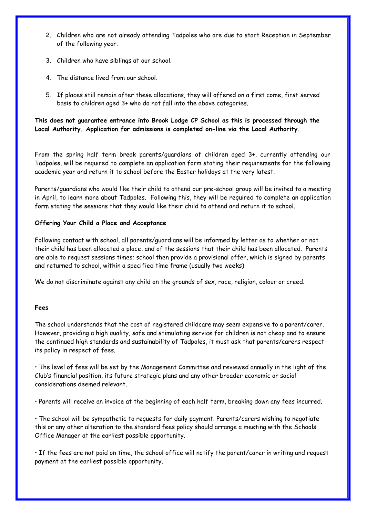- 2. Children who are not already attending Tadpoles who are due to start Reception in September of the following year.
- 3. Children who have siblings at our school.
- 4. The distance lived from our school.
- 5. If places still remain after these allocations, they will offered on a first come, first served basis to children aged 3+ who do not fall into the above categories.

**This does not guarantee entrance into Brook Lodge CP School as this is processed through the Local Authority. Application for admissions is completed on-line via the Local Authority.** 

From the spring half term break parents/guardians of children aged 3+, currently attending our Tadpoles, will be required to complete an application form stating their requirements for the following academic year and return it to school before the Easter holidays at the very latest.

Parents/guardians who would like their child to attend our pre-school group will be invited to a meeting in April, to learn more about Tadpoles. Following this, they will be required to complete an application form stating the sessions that they would like their child to attend and return it to school.

## **Offering Your Child a Place and Acceptance**

Following contact with school, all parents/guardians will be informed by letter as to whether or not their child has been allocated a place, and of the sessions that their child has been allocated. Parents are able to request sessions times; school then provide a provisional offer, which is signed by parents and returned to school, within a specified time frame (usually two weeks)

We do not discriminate against any child on the grounds of sex, race, religion, colour or creed.

### **Fees**

The school understands that the cost of registered childcare may seem expensive to a parent/carer. However, providing a high quality, safe and stimulating service for children is not cheap and to ensure the continued high standards and sustainability of Tadpoles, it must ask that parents/carers respect its policy in respect of fees.

• The level of fees will be set by the Management Committee and reviewed annually in the light of the Club's financial position, its future strategic plans and any other broader economic or social considerations deemed relevant.

• Parents will receive an invoice at the beginning of each half term, breaking down any fees incurred.

• The school will be sympathetic to requests for daily payment. Parents/carers wishing to negotiate this or any other alteration to the standard fees policy should arrange a meeting with the Schools Office Manager at the earliest possible opportunity.

• If the fees are not paid on time, the school office will notify the parent/carer in writing and request payment at the earliest possible opportunity.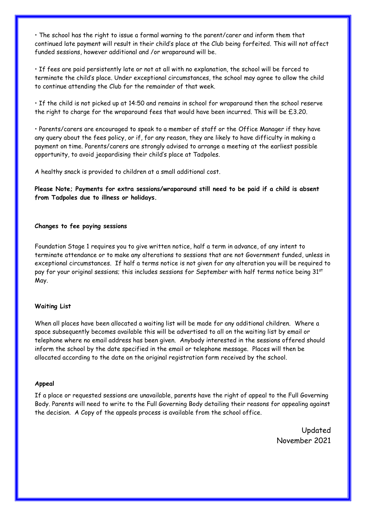• The school has the right to issue a formal warning to the parent/carer and inform them that continued late payment will result in their child's place at the Club being forfeited. This will not affect funded sessions, however additional and /or wraparound will be.

• If fees are paid persistently late or not at all with no explanation, the school will be forced to terminate the child's place. Under exceptional circumstances, the school may agree to allow the child to continue attending the Club for the remainder of that week.

• If the child is not picked up at 14:50 and remains in school for wraparound then the school reserve the right to charge for the wraparound fees that would have been incurred. This will be £3.20.

• Parents/carers are encouraged to speak to a member of staff or the Office Manager if they have any query about the fees policy, or if, for any reason, they are likely to have difficulty in making a payment on time. Parents/carers are strongly advised to arrange a meeting at the earliest possible opportunity, to avoid jeopardising their child's place at Tadpoles.

A healthy snack is provided to children at a small additional cost.

**Please Note; Payments for extra sessions/wraparound still need to be paid if a child is absent from Tadpoles due to illness or holidays.**

#### **Changes to fee paying sessions**

Foundation Stage 1 requires you to give written notice, half a term in advance, of any intent to terminate attendance or to make any alterations to sessions that are not Government funded, unless in exceptional circumstances. If half a terms notice is not given for any alteration you will be required to pay for your original sessions; this includes sessions for September with half terms notice being 31<sup>st</sup> May.

### **Waiting List**

When all places have been allocated a waiting list will be made for any additional children. Where a space subsequently becomes available this will be advertised to all on the waiting list by email or telephone where no email address has been given. Anybody interested in the sessions offered should inform the school by the date specified in the email or telephone message. Places will then be allocated according to the date on the original registration form received by the school.

#### **Appeal**

If a place or requested sessions are unavailable, parents have the right of appeal to the Full Governing Body. Parents will need to write to the Full Governing Body detailing their reasons for appealing against the decision. A Copy of the appeals process is available from the school office.

> Updated November 2021